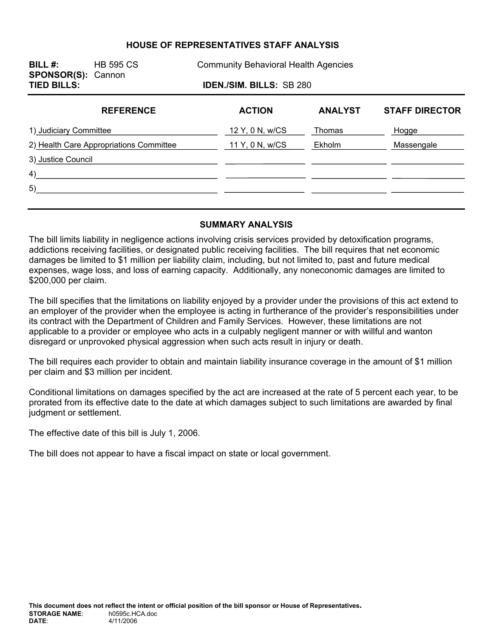# **HOUSE OF REPRESENTATIVES STAFF ANALYSIS**

| BILL $#$ :<br><b>SPONSOR(S): Cannon</b> | <b>HB 595 CS</b><br><b>Community Behavioral Health Agencies</b> |                 |               |                |                       |  |  |  |  |
|-----------------------------------------|-----------------------------------------------------------------|-----------------|---------------|----------------|-----------------------|--|--|--|--|
| <b>TIED BILLS:</b>                      | <b>IDEN./SIM. BILLS: SB 280</b>                                 |                 |               |                |                       |  |  |  |  |
|                                         | <b>REFERENCE</b>                                                |                 | <b>ACTION</b> | <b>ANALYST</b> | <b>STAFF DIRECTOR</b> |  |  |  |  |
| 1) Judiciary Committee                  |                                                                 | 12 Y, 0 N, w/CS | Thomas        | Hogge          |                       |  |  |  |  |
| 2) Health Care Appropriations Committee |                                                                 | 11 Y, 0 N, w/CS | Ekholm        | Massengale     |                       |  |  |  |  |
| 3) Justice Council                      |                                                                 |                 |               |                |                       |  |  |  |  |
| 4)                                      |                                                                 |                 |               |                |                       |  |  |  |  |
| 5)                                      |                                                                 |                 |               |                |                       |  |  |  |  |
|                                         |                                                                 |                 |               |                |                       |  |  |  |  |

#### **SUMMARY ANALYSIS**

The bill limits liability in negligence actions involving crisis services provided by detoxification programs, addictions receiving facilities, or designated public receiving facilities. The bill requires that net economic damages be limited to \$1 million per liability claim, including, but not limited to, past and future medical expenses, wage loss, and loss of earning capacity. Additionally, any noneconomic damages are limited to \$200,000 per claim.

The bill specifies that the limitations on liability enjoyed by a provider under the provisions of this act extend to an employer of the provider when the employee is acting in furtherance of the provider's responsibilities under its contract with the Department of Children and Family Services. However, these limitations are not applicable to a provider or employee who acts in a culpably negligent manner or with willful and wanton disregard or unprovoked physical aggression when such acts result in injury or death.

The bill requires each provider to obtain and maintain liability insurance coverage in the amount of \$1 million per claim and \$3 million per incident.

Conditional limitations on damages specified by the act are increased at the rate of 5 percent each year, to be prorated from its effective date to the date at which damages subject to such limitations are awarded by final judgment or settlement.

The effective date of this bill is July 1, 2006.

The bill does not appear to have a fiscal impact on state or local government.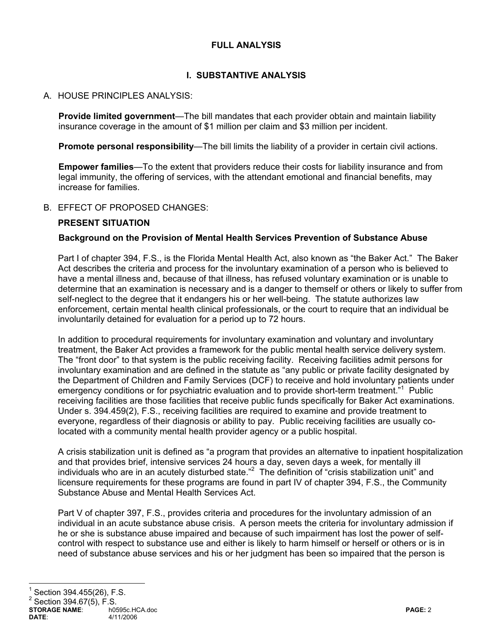# **FULL ANALYSIS**

# **I. SUBSTANTIVE ANALYSIS**

# A. HOUSE PRINCIPLES ANALYSIS:

**Provide limited government**—The bill mandates that each provider obtain and maintain liability insurance coverage in the amount of \$1 million per claim and \$3 million per incident.

**Promote personal responsibility**—The bill limits the liability of a provider in certain civil actions.

**Empower families**—To the extent that providers reduce their costs for liability insurance and from legal immunity, the offering of services, with the attendant emotional and financial benefits, may increase for families.

# B. EFFECT OF PROPOSED CHANGES:

# **PRESENT SITUATION**

#### **Background on the Provision of Mental Health Services Prevention of Substance Abuse**

Part I of chapter 394, F.S., is the Florida Mental Health Act, also known as "the Baker Act." The Baker Act describes the criteria and process for the involuntary examination of a person who is believed to have a mental illness and, because of that illness, has refused voluntary examination or is unable to determine that an examination is necessary and is a danger to themself or others or likely to suffer from self-neglect to the degree that it endangers his or her well-being. The statute authorizes law enforcement, certain mental health clinical professionals, or the court to require that an individual be involuntarily detained for evaluation for a period up to 72 hours.

In addition to procedural requirements for involuntary examination and voluntary and involuntary treatment, the Baker Act provides a framework for the public mental health service delivery system. The "front door" to that system is the public receiving facility. Receiving facilities admit persons for involuntary examination and are defined in the statute as "any public or private facility designated by the Department of Children and Family Services (DCF) to receive and hold involuntary patients under emergency conditions or for psychiatric evaluation and to provide short-term treatment."<sup>1</sup> Public receiving facilities are those facilities that receive public funds specifically for Baker Act examinations. Under s. 394.459(2), F.S., receiving facilities are required to examine and provide treatment to everyone, regardless of their diagnosis or ability to pay. Public receiving facilities are usually colocated with a community mental health provider agency or a public hospital.

A crisis stabilization unit is defined as "a program that provides an alternative to inpatient hospitalization and that provides brief, intensive services 24 hours a day, seven days a week, for mentally ill individuals who are in an acutely disturbed state."<sup>2</sup> The definition of "crisis stabilization unit" and licensure requirements for these programs are found in part IV of chapter 394, F.S., the Community Substance Abuse and Mental Health Services Act.

Part V of chapter 397, F.S., provides criteria and procedures for the involuntary admission of an individual in an acute substance abuse crisis. A person meets the criteria for involuntary admission if he or she is substance abuse impaired and because of such impairment has lost the power of selfcontrol with respect to substance use and either is likely to harm himself or herself or others or is in need of substance abuse services and his or her judgment has been so impaired that the person is

# 1 Section 394.455(26), F.S.

 $^{2}$  Section 394.67(5), F.S.

**STORAGE NAME:**  $\begin{array}{ccc} \sim & \text{no595c.HCA.doc} \\ 4/11/2006 & \text{PAGE: } 2 \end{array}$ **DATE**: 4/11/2006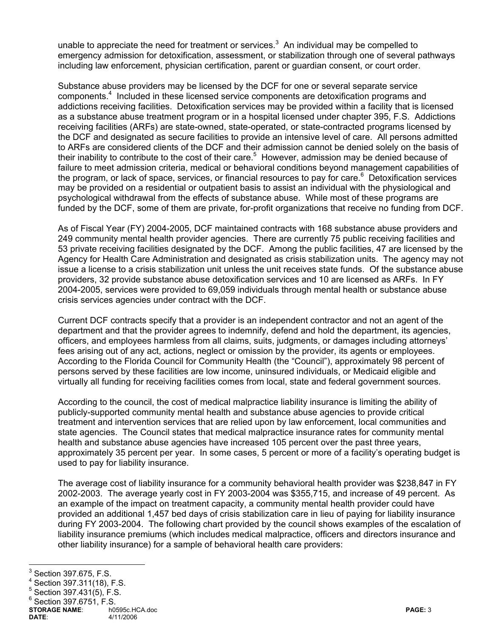unable to appreciate the need for treatment or services.<sup>3</sup> An individual may be compelled to emergency admission for detoxification, assessment, or stabilization through one of several pathways including law enforcement, physician certification, parent or guardian consent, or court order.

Substance abuse providers may be licensed by the DCF for one or several separate service components.<sup>4</sup> Included in these licensed service components are detoxification programs and addictions receiving facilities. Detoxification services may be provided within a facility that is licensed as a substance abuse treatment program or in a hospital licensed under chapter 395, F.S. Addictions receiving facilities (ARFs) are state-owned, state-operated, or state-contracted programs licensed by the DCF and designated as secure facilities to provide an intensive level of care. All persons admitted to ARFs are considered clients of the DCF and their admission cannot be denied solely on the basis of their inability to contribute to the cost of their care.<sup>5</sup> However, admission may be denied because of failure to meet admission criteria, medical or behavioral conditions beyond management capabilities of the program, or lack of space, services, or financial resources to pay for care.<sup>6</sup> Detoxification services may be provided on a residential or outpatient basis to assist an individual with the physiological and psychological withdrawal from the effects of substance abuse. While most of these programs are funded by the DCF, some of them are private, for-profit organizations that receive no funding from DCF.

As of Fiscal Year (FY) 2004-2005, DCF maintained contracts with 168 substance abuse providers and 249 community mental health provider agencies. There are currently 75 public receiving facilities and 53 private receiving facilities designated by the DCF. Among the public facilities, 47 are licensed by the Agency for Health Care Administration and designated as crisis stabilization units. The agency may not issue a license to a crisis stabilization unit unless the unit receives state funds. Of the substance abuse providers, 32 provide substance abuse detoxification services and 10 are licensed as ARFs. In FY 2004-2005, services were provided to 69,059 individuals through mental health or substance abuse crisis services agencies under contract with the DCF.

Current DCF contracts specify that a provider is an independent contractor and not an agent of the department and that the provider agrees to indemnify, defend and hold the department, its agencies, officers, and employees harmless from all claims, suits, judgments, or damages including attorneys' fees arising out of any act, actions, neglect or omission by the provider, its agents or employees. According to the Florida Council for Community Health (the "Council"), approximately 98 percent of persons served by these facilities are low income, uninsured individuals, or Medicaid eligible and virtually all funding for receiving facilities comes from local, state and federal government sources.

According to the council, the cost of medical malpractice liability insurance is limiting the ability of publicly-supported community mental health and substance abuse agencies to provide critical treatment and intervention services that are relied upon by law enforcement, local communities and state agencies. The Council states that medical malpractice insurance rates for community mental health and substance abuse agencies have increased 105 percent over the past three years, approximately 35 percent per year. In some cases, 5 percent or more of a facility's operating budget is used to pay for liability insurance.

The average cost of liability insurance for a community behavioral health provider was \$238,847 in FY 2002-2003. The average yearly cost in FY 2003-2004 was \$355,715, and increase of 49 percent. As an example of the impact on treatment capacity, a community mental health provider could have provided an additional 1,457 bed days of crisis stabilization care in lieu of paying for liability insurance during FY 2003-2004. The following chart provided by the council shows examples of the escalation of liability insurance premiums (which includes medical malpractice, officers and directors insurance and other liability insurance) for a sample of behavioral health care providers:

<sup>&</sup>lt;sup>3</sup> Section 397.675, F.S.<br><sup>4</sup> Section 397.675, F.S.

Section 397.311(18), F.S.

<sup>5</sup> Section 397.431(5), F.S.

 $6$  Section 397.6751, F.S.

**STORAGE NAME**: h0595c.HCA.doc **PAGE:** 3 **DATE**: 4/11/2006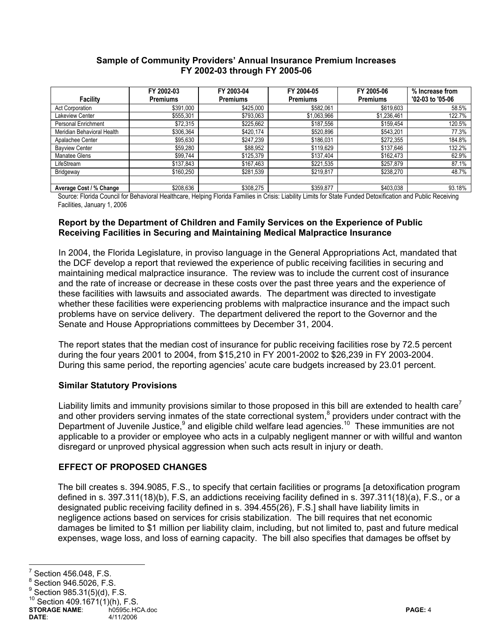#### **Sample of Community Providers' Annual Insurance Premium Increases FY 2002-03 through FY 2005-06**

|                            | FY 2002-03      | FY 2003-04      | FY 2004-05      | FY 2005-06      | % Increase from  |
|----------------------------|-----------------|-----------------|-----------------|-----------------|------------------|
| <b>Facility</b>            | <b>Premiums</b> | <b>Premiums</b> | <b>Premiums</b> | <b>Premiums</b> | '02-03 to '05-06 |
| <b>Act Corporation</b>     | \$391,000       | \$425,000       | \$582,061       | \$619,603       | 58.5%            |
| Lakeview Center            | \$555,301       | \$793,063       | \$1,063,966     | \$1,236,461     | 122.7%           |
| Personal Enrichment        | \$72,315        | \$225,662       | \$187,556       | \$159,454       | 120.5%           |
| Meridian Behavioral Health | \$306,364       | \$420,174       | \$520,896       | \$543,201       | 77.3%            |
| Apalachee Center           | \$95,630        | \$247,239       | \$186,031       | \$272,355       | 184.8%           |
| <b>Bayview Center</b>      | \$59,280        | \$88,952        | \$119,629       | \$137,646       | 132.2%           |
| Manatee Glens              | \$99,744        | \$125,379       | \$137,404       | \$162,473       | 62.9%            |
| LifeStream                 | \$137,843       | \$167,463       | \$221,535       | \$257,879       | 87.1%            |
| Bridgeway                  | \$160,250       | \$281,539       | \$219,817       | \$238,270       | 48.7%            |
|                            |                 |                 |                 |                 |                  |
| Average Cost / % Change    | \$208,636       | \$308,275       | \$359,877       | \$403,038       | 93.18%           |

Source: Florida Council for Behavioral Healthcare, Helping Florida Families in Crisis: Liability Limits for State Funded Detoxification and Public Receiving Facilities, January 1, 2006

#### **Report by the Department of Children and Family Services on the Experience of Public Receiving Facilities in Securing and Maintaining Medical Malpractice Insurance**

In 2004, the Florida Legislature, in proviso language in the General Appropriations Act, mandated that the DCF develop a report that reviewed the experience of public receiving facilities in securing and maintaining medical malpractice insurance. The review was to include the current cost of insurance and the rate of increase or decrease in these costs over the past three years and the experience of these facilities with lawsuits and associated awards. The department was directed to investigate whether these facilities were experiencing problems with malpractice insurance and the impact such problems have on service delivery. The department delivered the report to the Governor and the Senate and House Appropriations committees by December 31, 2004.

The report states that the median cost of insurance for public receiving facilities rose by 72.5 percent during the four years 2001 to 2004, from \$15,210 in FY 2001-2002 to \$26,239 in FY 2003-2004. During this same period, the reporting agencies' acute care budgets increased by 23.01 percent.

# **Similar Statutory Provisions**

Liability limits and immunity provisions similar to those proposed in this bill are extended to health care<sup>7</sup> and other providers serving inmates of the state correctional system, $8$  providers under contract with the Department of Juvenile Justice,<sup>9</sup> and eligible child welfare lead agencies.<sup>10</sup> These immunities are not applicable to a provider or employee who acts in a culpably negligent manner or with willful and wanton disregard or unproved physical aggression when such acts result in injury or death.

# **EFFECT OF PROPOSED CHANGES**

The bill creates s. 394.9085, F.S., to specify that certain facilities or programs [a detoxification program defined in s. 397.311(18)(b), F.S, an addictions receiving facility defined in s. 397.311(18)(a), F.S., or a designated public receiving facility defined in s. 394.455(26), F.S.] shall have liability limits in negligence actions based on services for crisis stabilization. The bill requires that net economic damages be limited to \$1 million per liability claim, including, but not limited to, past and future medical expenses, wage loss, and loss of earning capacity. The bill also specifies that damages be offset by

<sup>-&</sup>lt;br>7 Section 456.048, F.S.

<sup>8</sup> Section 946.5026, F.S.

<sup>9</sup> Section 985.31(5)(d), F.S.

Section  $409.1671(1)(h)$ , F.S.

**STORAGE NAME**: h0595c.HCA.doc **PAGE:** 4 **DATE**: 4/11/2006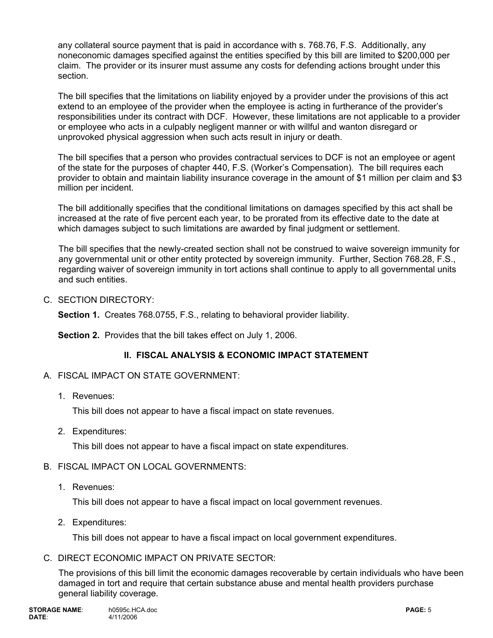any collateral source payment that is paid in accordance with s. 768.76, F.S. Additionally, any noneconomic damages specified against the entities specified by this bill are limited to \$200,000 per claim. The provider or its insurer must assume any costs for defending actions brought under this section.

The bill specifies that the limitations on liability enjoyed by a provider under the provisions of this act extend to an employee of the provider when the employee is acting in furtherance of the provider's responsibilities under its contract with DCF. However, these limitations are not applicable to a provider or employee who acts in a culpably negligent manner or with willful and wanton disregard or unprovoked physical aggression when such acts result in injury or death.

The bill specifies that a person who provides contractual services to DCF is not an employee or agent of the state for the purposes of chapter 440, F.S. (Worker's Compensation). The bill requires each provider to obtain and maintain liability insurance coverage in the amount of \$1 million per claim and \$3 million per incident.

The bill additionally specifies that the conditional limitations on damages specified by this act shall be increased at the rate of five percent each year, to be prorated from its effective date to the date at which damages subject to such limitations are awarded by final judgment or settlement.

The bill specifies that the newly-created section shall not be construed to waive sovereign immunity for any governmental unit or other entity protected by sovereign immunity. Further, Section 768.28, F.S., regarding waiver of sovereign immunity in tort actions shall continue to apply to all governmental units and such entities.

C. SECTION DIRECTORY:

**Section 1.** Creates 768.0755, F.S., relating to behavioral provider liability.

**Section 2.** Provides that the bill takes effect on July 1, 2006.

# **II. FISCAL ANALYSIS & ECONOMIC IMPACT STATEMENT**

- A. FISCAL IMPACT ON STATE GOVERNMENT:
	- 1. Revenues:

This bill does not appear to have a fiscal impact on state revenues.

2. Expenditures:

This bill does not appear to have a fiscal impact on state expenditures.

# B. FISCAL IMPACT ON LOCAL GOVERNMENTS:

1. Revenues:

This bill does not appear to have a fiscal impact on local government revenues.

2. Expenditures:

This bill does not appear to have a fiscal impact on local government expenditures.

C. DIRECT ECONOMIC IMPACT ON PRIVATE SECTOR:

The provisions of this bill limit the economic damages recoverable by certain individuals who have been damaged in tort and require that certain substance abuse and mental health providers purchase general liability coverage.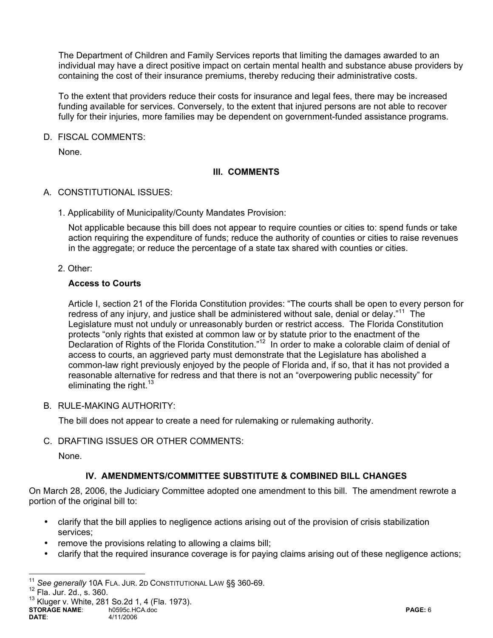The Department of Children and Family Services reports that limiting the damages awarded to an individual may have a direct positive impact on certain mental health and substance abuse providers by containing the cost of their insurance premiums, thereby reducing their administrative costs.

To the extent that providers reduce their costs for insurance and legal fees, there may be increased funding available for services. Conversely, to the extent that injured persons are not able to recover fully for their injuries, more families may be dependent on government-funded assistance programs.

D. FISCAL COMMENTS:

None.

# **III. COMMENTS**

- A. CONSTITUTIONAL ISSUES:
	- 1. Applicability of Municipality/County Mandates Provision:

Not applicable because this bill does not appear to require counties or cities to: spend funds or take action requiring the expenditure of funds; reduce the authority of counties or cities to raise revenues in the aggregate; or reduce the percentage of a state tax shared with counties or cities.

2. Other:

#### **Access to Courts**

Article I, section 21 of the Florida Constitution provides: "The courts shall be open to every person for redress of any injury, and justice shall be administered without sale, denial or delay."<sup>11</sup> The Legislature must not unduly or unreasonably burden or restrict access. The Florida Constitution protects "only rights that existed at common law or by statute prior to the enactment of the Declaration of Rights of the Florida Constitution."<sup>12</sup> In order to make a colorable claim of denial of access to courts, an aggrieved party must demonstrate that the Legislature has abolished a common-law right previously enjoyed by the people of Florida and, if so, that it has not provided a reasonable alternative for redress and that there is not an "overpowering public necessity" for eliminating the right. $13$ 

B. RULE-MAKING AUTHORITY:

The bill does not appear to create a need for rulemaking or rulemaking authority.

C. DRAFTING ISSUES OR OTHER COMMENTS:

None.

# **IV. AMENDMENTS/COMMITTEE SUBSTITUTE & COMBINED BILL CHANGES**

On March 28, 2006, the Judiciary Committee adopted one amendment to this bill. The amendment rewrote a portion of the original bill to:

- clarify that the bill applies to negligence actions arising out of the provision of crisis stabilization services;
- remove the provisions relating to allowing a claims bill;
- clarify that the required insurance coverage is for paying claims arising out of these negligence actions;

 $\overline{a}$ 

<sup>&</sup>lt;sup>11</sup> See generally 10A FLA. JUR. 2D CONSTITUTIONAL LAW §§ 360-69.<br><sup>12</sup> Fla. Jur. 2d., s. 360.

**STORAGE NAME**: h0595c.HCA.doc **PAGE:** 6 **DATE**: 4/11/2006  $13$  Kluger v. White, 281 So. 2d 1, 4 (Fla. 1973).